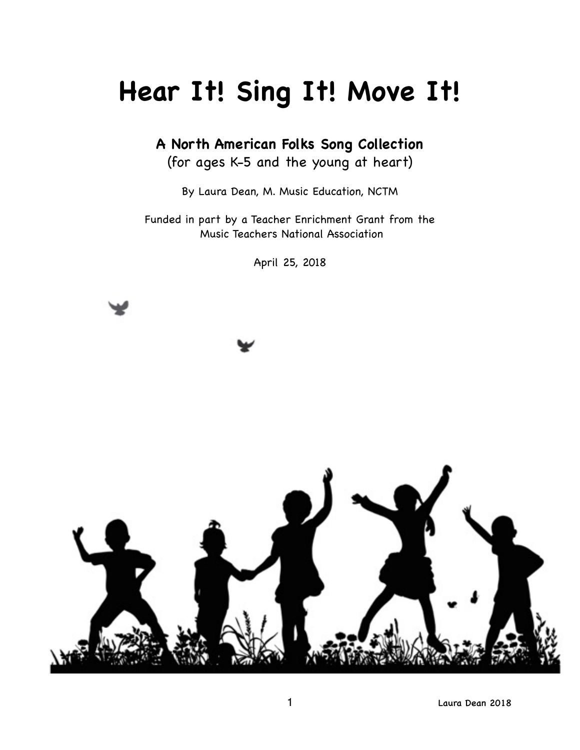# **Hear It! Sing It! Move It!**

**A North American Folks Song Collection**

(for ages K-5 and the young at heart)

By Laura Dean, M. Music Education, NCTM

Funded in part by a Teacher Enrichment Grant from the Music Teachers National Association

April 25, 2018

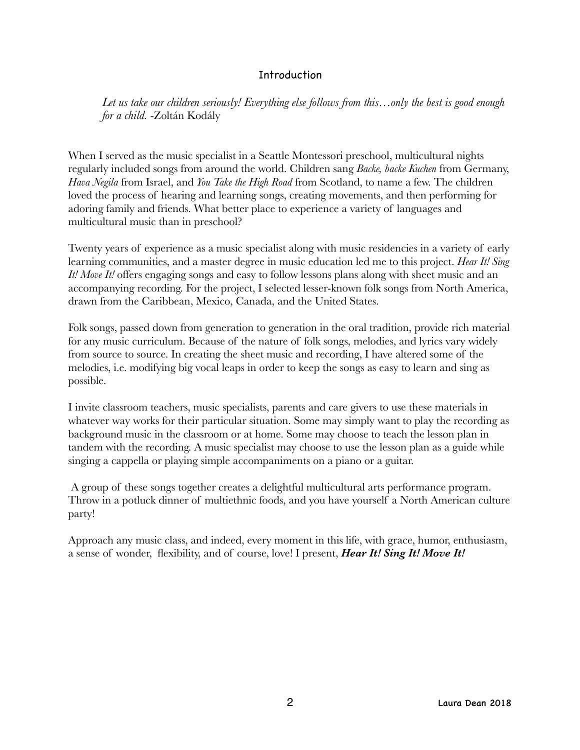#### Introduction

*Let us take our children seriously! Everything else follows from this…only the best is good enough for a child.* -Zoltán Kodály

When I served as the music specialist in a Seattle Montessori preschool, multicultural nights regularly included songs from around the world. Children sang *Backe, backe Kuchen* from Germany, *Hava Negila* from Israel, and *You Take the High Road* from Scotland, to name a few. The children loved the process of hearing and learning songs, creating movements, and then performing for adoring family and friends. What better place to experience a variety of languages and multicultural music than in preschool?

Twenty years of experience as a music specialist along with music residencies in a variety of early learning communities, and a master degree in music education led me to this project. *Hear It! Sing It! Move It!* offers engaging songs and easy to follow lessons plans along with sheet music and an accompanying recording. For the project, I selected lesser-known folk songs from North America, drawn from the Caribbean, Mexico, Canada, and the United States.

Folk songs, passed down from generation to generation in the oral tradition, provide rich material for any music curriculum. Because of the nature of folk songs, melodies, and lyrics vary widely from source to source. In creating the sheet music and recording, I have altered some of the melodies, i.e. modifying big vocal leaps in order to keep the songs as easy to learn and sing as possible.

I invite classroom teachers, music specialists, parents and care givers to use these materials in whatever way works for their particular situation. Some may simply want to play the recording as background music in the classroom or at home. Some may choose to teach the lesson plan in tandem with the recording. A music specialist may choose to use the lesson plan as a guide while singing a cappella or playing simple accompaniments on a piano or a guitar.

 A group of these songs together creates a delightful multicultural arts performance program. Throw in a potluck dinner of multiethnic foods, and you have yourself a North American culture party!

Approach any music class, and indeed, every moment in this life, with grace, humor, enthusiasm, a sense of wonder, flexibility, and of course, love! I present, *Hear It! Sing It! Move It!*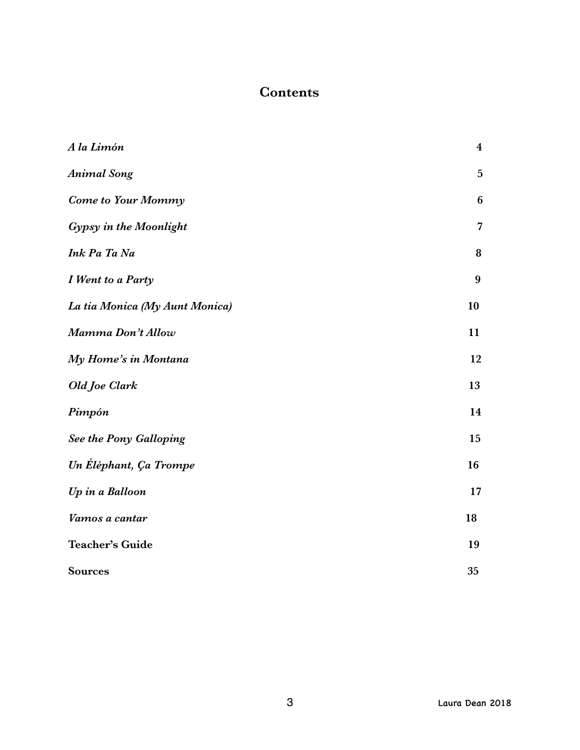# **Contents**

| A la Limón                     | $\boldsymbol{4}$ |
|--------------------------------|------------------|
| <b>Animal Song</b>             | $\overline{5}$   |
| <b>Come to Your Mommy</b>      | 6                |
| Gypsy in the Moonlight         | $\overline{7}$   |
| Ink Pa Ta Na                   | 8                |
| I Went to a Party              | $\boldsymbol{9}$ |
| La tia Monica (My Aunt Monica) | 10               |
| Mamma Don't Allow              | 11               |
| My Home's in Montana           | 12               |
| Old Joe Clark                  | 13               |
| Pimpón                         | 14               |
| See the Pony Galloping         | 15               |
| Un Éléphant, Ça Trompe         | 16               |
| Up in a Balloon                | 17               |
| Vamos a cantar                 | 18               |
| <b>Teacher's Guide</b>         | 19               |
| <b>Sources</b>                 | 35               |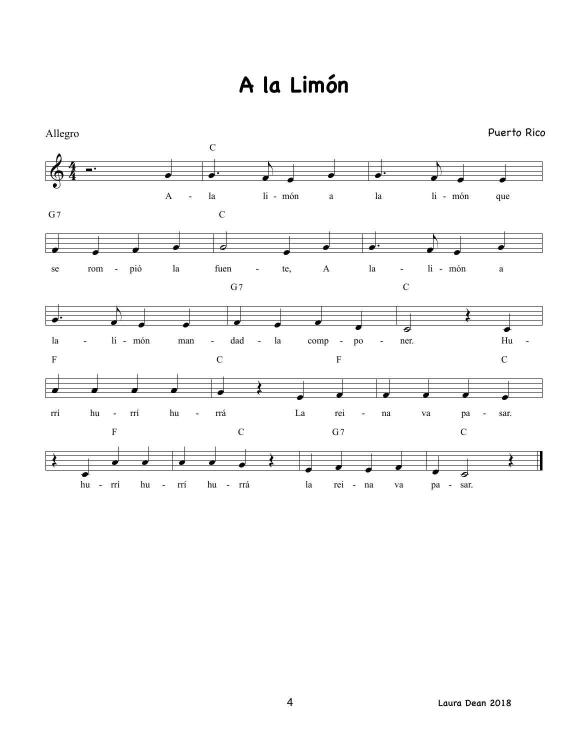# **A la Limón**

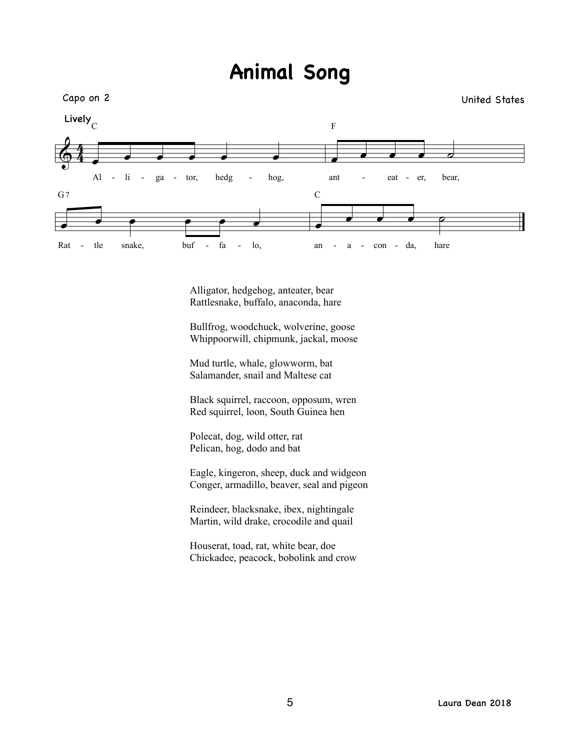# **Animal Song**



Alligator, hedgehog, anteater, bear Rattlesnake, buffalo, anaconda, hare

Bullfrog, woodchuck, wolverine, goose Whippoorwill, chipmunk, jackal, moose

Mud turtle, whale, glowworm, bat Salamander, snail and Maltese cat

Black squirrel, raccoon, opposum, wren Red squirrel, loon, South Guinea hen

Polecat, dog, wild otter, rat Pelican, hog, dodo and bat

Eagle, kingeron, sheep, duck and widgeon Conger, armadillo, beaver, seal and pigeon

Reindeer, blacksnake, ibex, nightingale Martin, wild drake, crocodile and quail

Houserat, toad, rat, white bear, doe Chickadee, peacock, bobolink and crow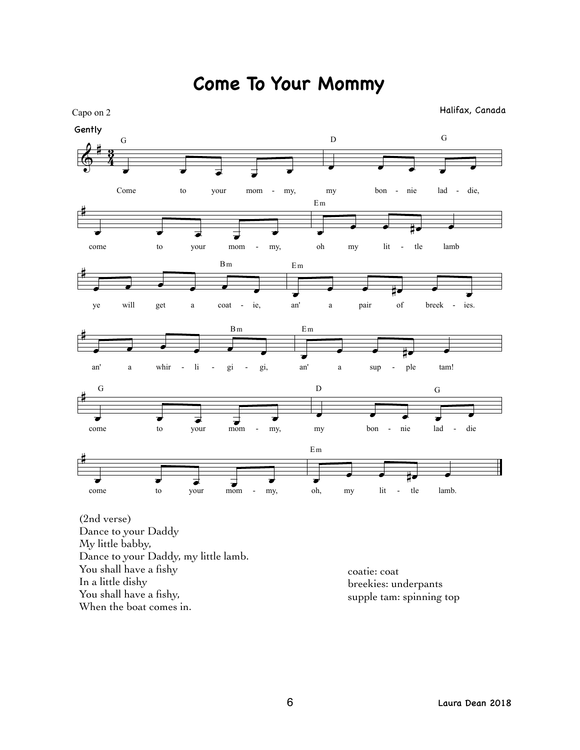

# **Come To Your Mommy**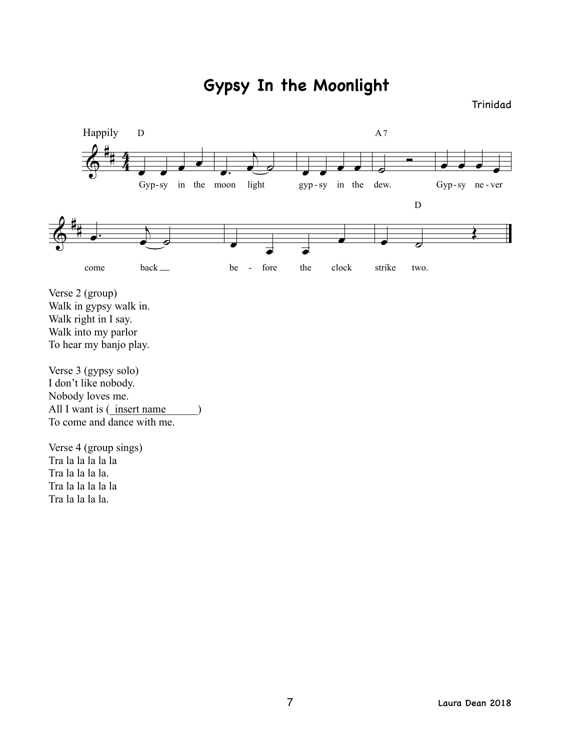**Gypsy In the Moonlight**

#### Trinidad



Verse 2 (group) Walk in gypsy walk in. Walk right in I say. Walk into my parlor To hear my banjo play.

Verse 3 (gypsy solo) I don't like nobody. Nobody loves me. All I want is  $(\text{insert name})$ To come and dance with me.

Verse 4 (group sings) Tra la la la la la Tra la la la la. Tra la la la la la Tra la la la la.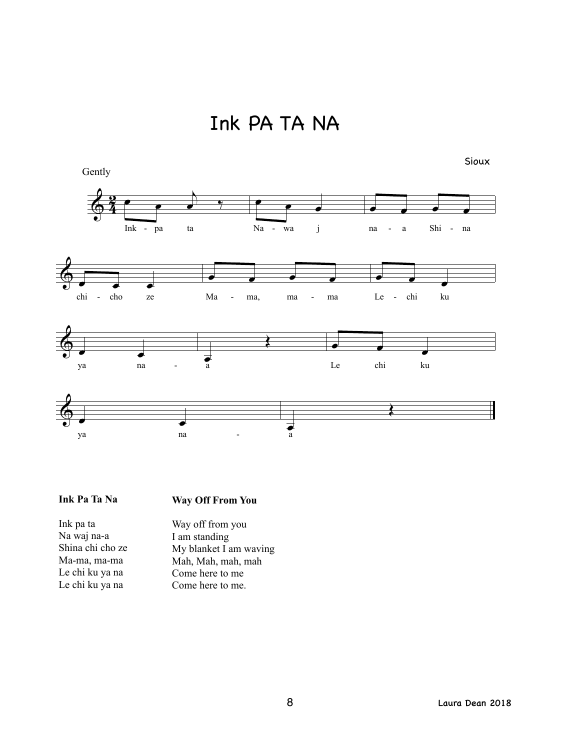Ink PA TA NA



#### **Ink Pa Ta Na**

#### **Way Off From You**

Ink pa ta Na waj na-a Shina chi cho ze Ma-ma, ma-ma Le chi ku ya na Le chi ku ya na

Way off from you I am standing My blanket I am waving Mah, Mah, mah, mah Come here to me Come here to me.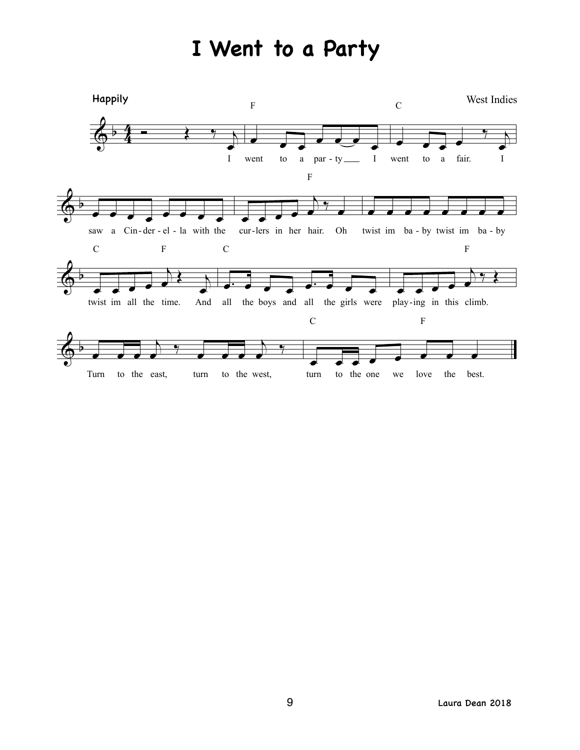# **I Went to a Party**

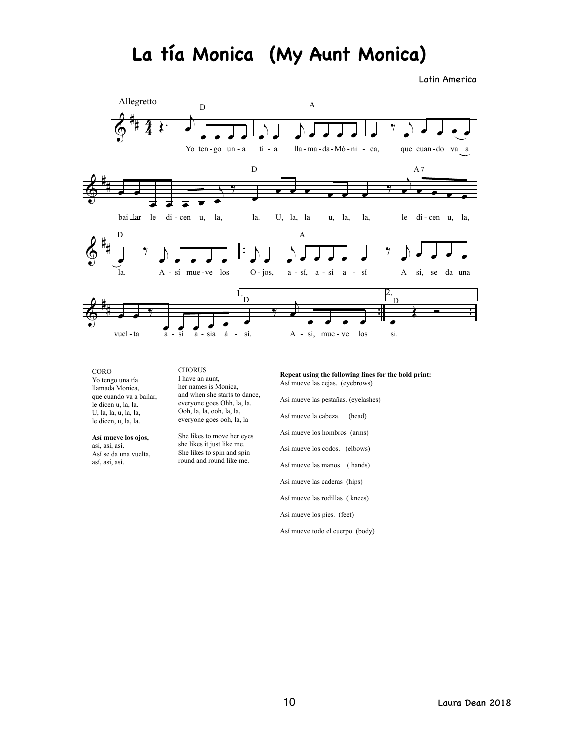# **La tía Monica (My Aunt Monica)**

Latin America



CORO Yo tengo una tía llamada Monica, que cuando va a bailar, le dicen u, la, la. U, la, la, u, la, la, le dicen, u, la, la.

**Así mueve los ojos,** así, así, así. Así se da una vuelta, así, así, así.

**CHORUS** I have an aunt, her names is Monica, and when she starts to dance, everyone goes Ohh, la, la. Ooh, la, la, ooh, la, la, everyone goes ooh, la, la

She likes to move her eyes she likes it just like me. She likes to spin and spin round and round like me.

**Repeat using the following lines for the bold print:** Así mueve las cejas. (eyebrows)

Así mueve las pestañas. (eyelashes) Así mueve la cabeza. (head) Así mueve los hombros (arms) Así mueve los codos. (elbows) Así mueve las manos ( hands) Así mueve las caderas (hips) Así mueve las rodillas ( knees) Así mueve los pies. (feet)

Así mueve todo el cuerpo (body)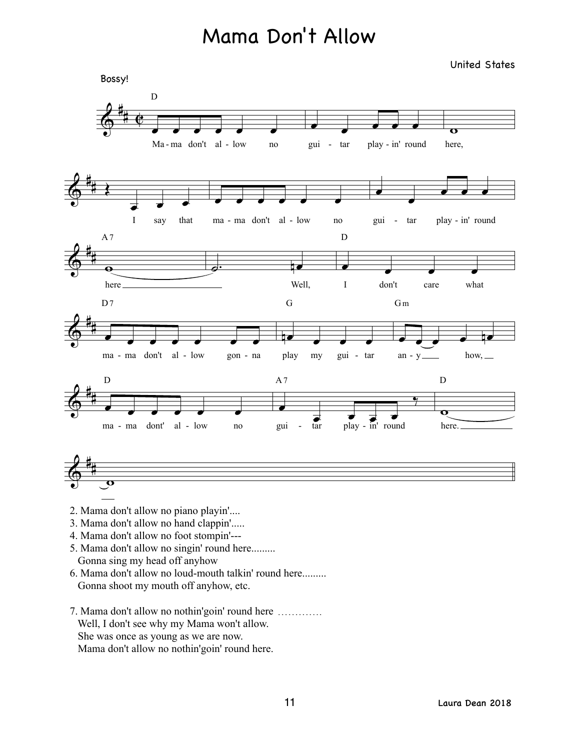# Mama Don't Allow

United States



- 2. Mama don't allow no piano playin'....
- 3. Mama don't allow no hand clappin'.....
- 4. Mama don't allow no foot stompin'---
- 5. Mama don't allow no singin' round here......... Gonna sing my head off anyhow
- 6. Mama don't allow no loud-mouth talkin' round here......... Gonna shoot my mouth off anyhow, etc.
- 7. Mama don't allow no nothin'goin' round here …………. Well, I don't see why my Mama won't allow. She was once as young as we are now. Mama don't allow no nothin'goin' round here.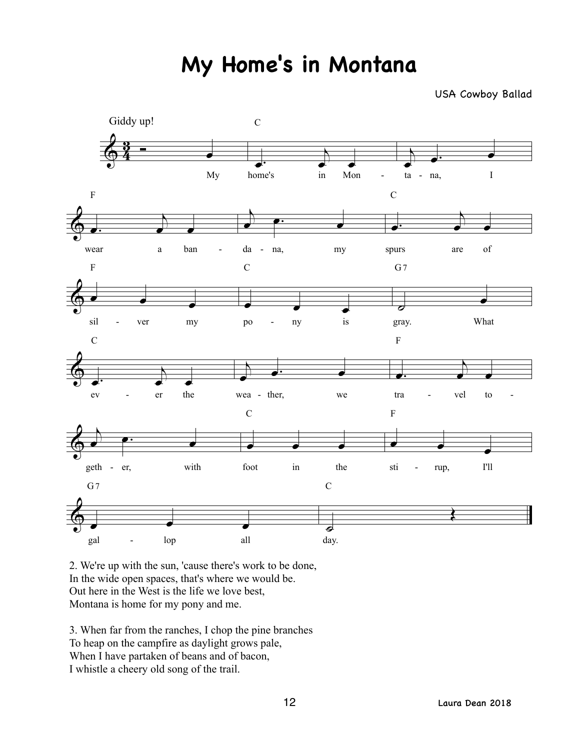# **My Home's in Montana**

USA Cowboy Ballad



2. We're up with the sun, 'cause there's work to be done, In the wide open spaces, that's where we would be. Out here in the West is the life we love best, Montana is home for my pony and me.

3. When far from the ranches, I chop the pine branches To heap on the campfire as daylight grows pale, When I have partaken of beans and of bacon, I whistle a cheery old song of the trail.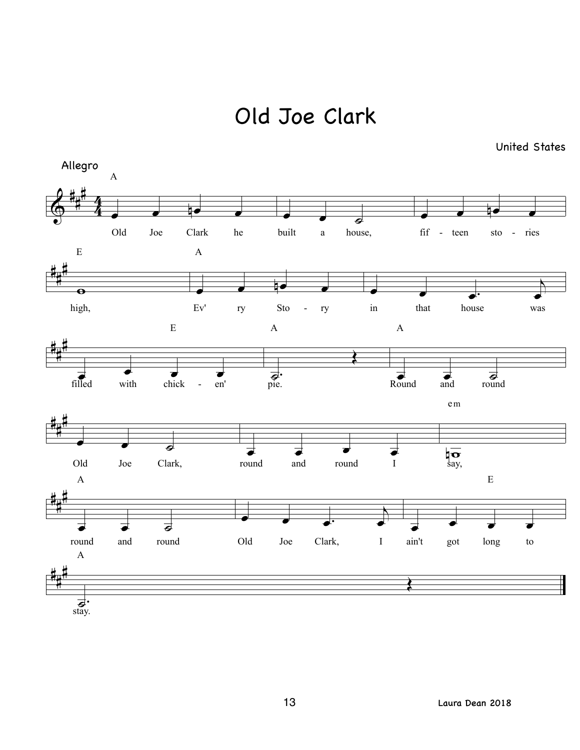Old Joe Clark

United States

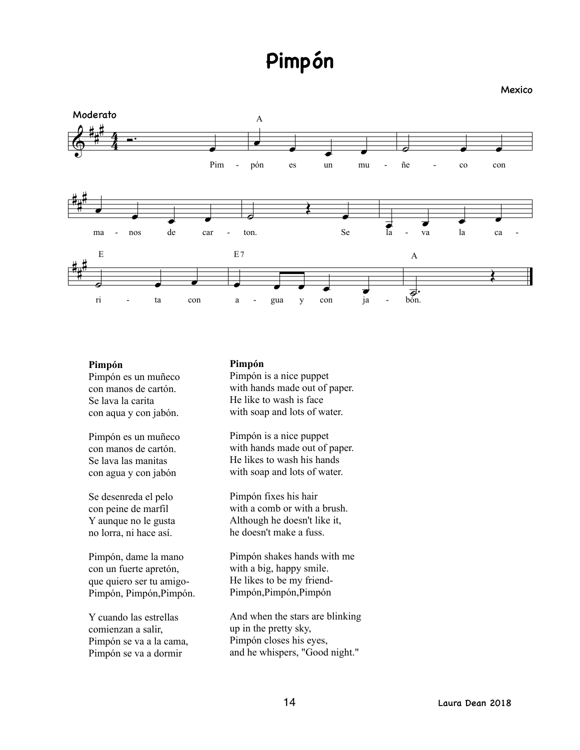# **Pimpón**

Mexico



#### **Pimpón**

Pimpón es un muñeco con manos de cartón. Se lava la carita con aqua y con jabón.

Pimpón es un muñeco con manos de cartón. Se lava las manitas con agua y con jabón

Se desenreda el pelo con peine de marfil Y aunque no le gusta no lorra, ni hace así.

Pimpón, dame la mano con un fuerte apretón, que quiero ser tu amigo-Pimpón, Pimpón, Pimpón.

Y cuando las estrellas comienzan a salir, Pimpón se va a la cama, Pimpón se va a dormir

#### **Pimpón**

Pimpón is a nice puppet with hands made out of paper. He like to wash is face with soap and lots of water.

Pimpón is a nice puppet with hands made out of paper. He likes to wash his hands with soap and lots of water.

Pimpón fixes his hair with a comb or with a brush. Although he doesn't like it, he doesn't make a fuss.

Pimpón shakes hands with me with a big, happy smile. He likes to be my friend-Pimpón,Pimpón,Pimpón

And when the stars are blinking up in the pretty sky, Pimpón closes his eyes, and he whispers, "Good night."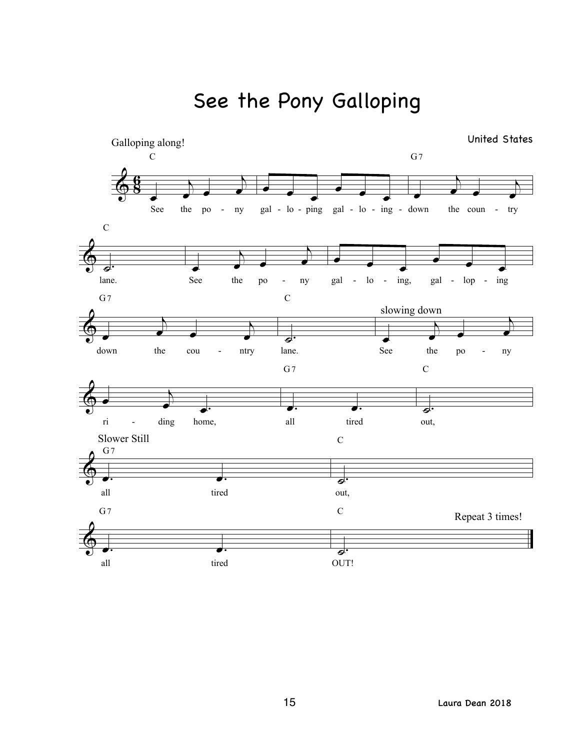See the Pony Galloping

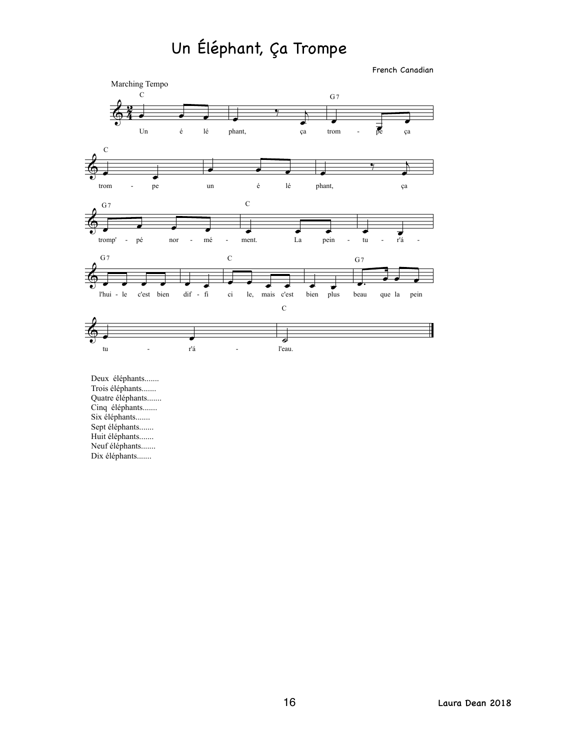# Un Éléphant, Ça Trompe

French Canadian



Deux éléphants....... Trois éléphants....... Quatre éléphants....... Cinq éléphants....... Six éléphants....... Sept éléphants....... Huit éléphants....... Neuf éléphants....... Dix éléphants.......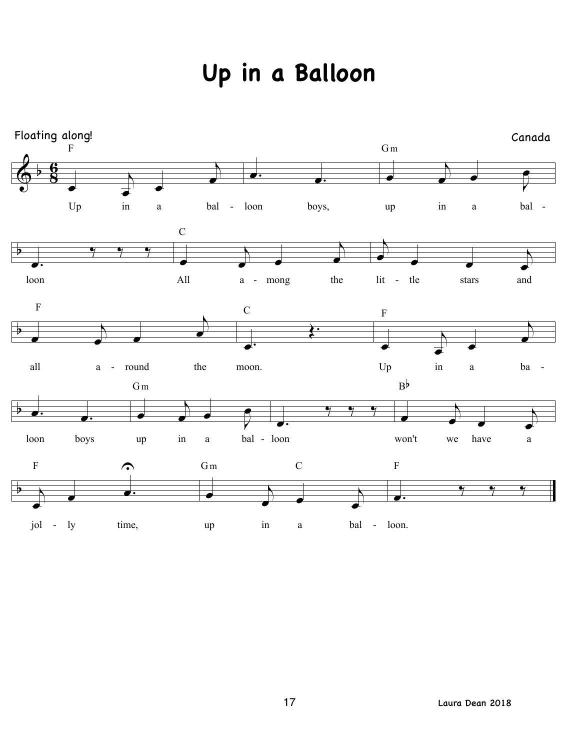# **Up in a Balloon**

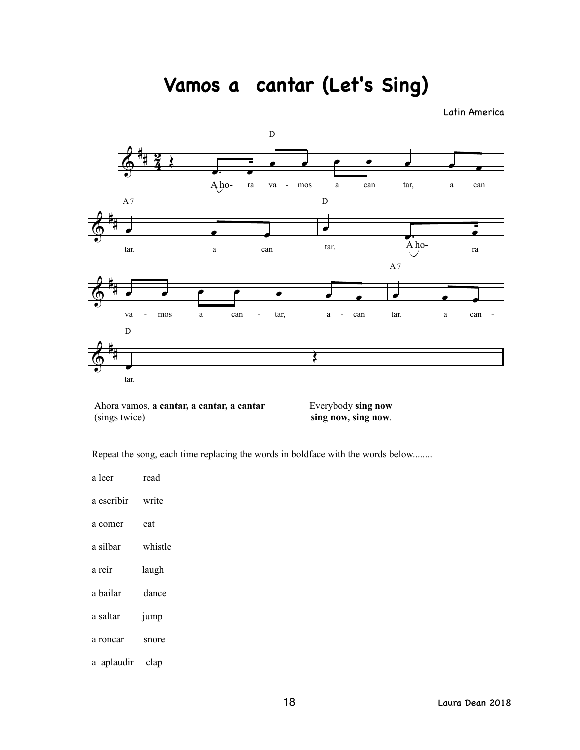**Vamos a cantar (Let's Sing)**

Latin America



Ahora vamos, a cantar, a cantar, a cantar **Everybody** sing now (sings twice) **sing now, sing now**.

Repeat the song, each time replacing the words in boldface with the words below........

| a leer     | read             |
|------------|------------------|
| a escribir | write            |
| a comer    | eat              |
| a silbar   | whistle          |
| a reír     | laugh            |
| a bailar   | dance            |
| a saltar   | <sub>1</sub> ump |
| a roncar   | snore            |
| a aplaudir | clap             |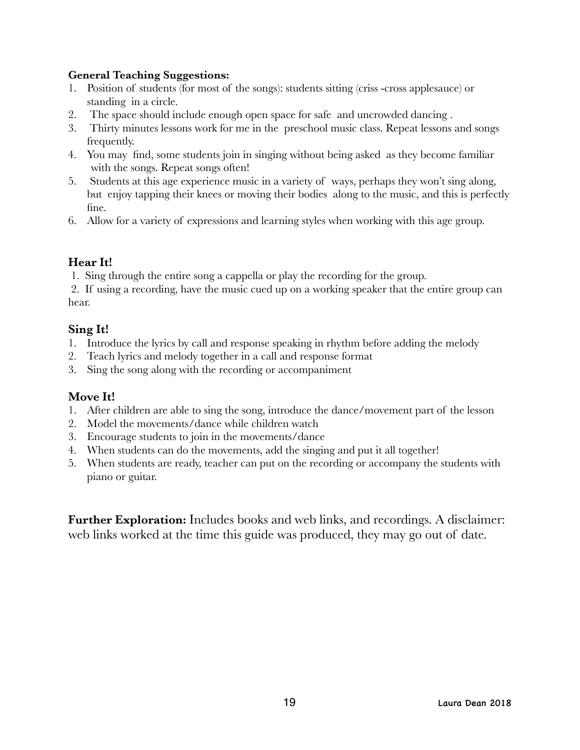#### **General Teaching Suggestions:**

- 1. Position of students (for most of the songs): students sitting (criss -cross applesauce) or standing in a circle.
- 2. The space should include enough open space for safe and uncrowded dancing .
- 3. Thirty minutes lessons work for me in the preschool music class. Repeat lessons and songs frequently.
- 4. You may find, some students join in singing without being asked as they become familiar with the songs. Repeat songs often!
- 5. Students at this age experience music in a variety of ways, perhaps they won't sing along, but enjoy tapping their knees or moving their bodies along to the music, and this is perfectly fine.
- 6. Allow for a variety of expressions and learning styles when working with this age group.

# **Hear It!**

1. Sing through the entire song a cappella or play the recording for the group.

 2. If using a recording, have the music cued up on a working speaker that the entire group can hear.

## **Sing It!**

- 1. Introduce the lyrics by call and response speaking in rhythm before adding the melody
- 2. Teach lyrics and melody together in a call and response format
- 3. Sing the song along with the recording or accompaniment

## **Move It!**

- 1. After children are able to sing the song, introduce the dance/movement part of the lesson
- 2. Model the movements/dance while children watch
- 3. Encourage students to join in the movements/dance
- 4. When students can do the movements, add the singing and put it all together!
- 5. When students are ready, teacher can put on the recording or accompany the students with piano or guitar.

**Further Exploration:** Includes books and web links, and recordings. A disclaimer: web links worked at the time this guide was produced, they may go out of date.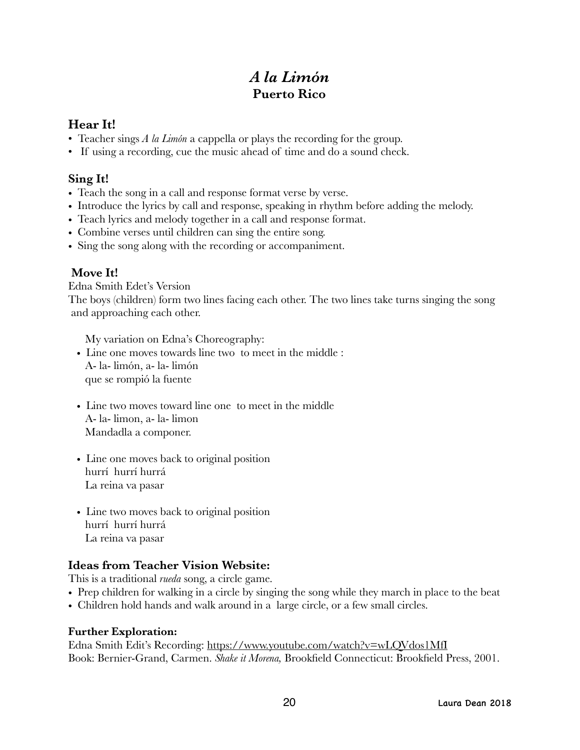# *A la Limón*  **Puerto Rico**

# **Hear It!**

- Teacher sings *A la Limón* a cappella or plays the recording for the group.
- If using a recording, cue the music ahead of time and do a sound check.

# **Sing It!**

- Teach the song in a call and response format verse by verse.
- Introduce the lyrics by call and response, speaking in rhythm before adding the melody.
- Teach lyrics and melody together in a call and response format.
- Combine verses until children can sing the entire song.
- Sing the song along with the recording or accompaniment.

# **Move It!**

Edna Smith Edet's Version

The boys (children) form two lines facing each other. The two lines take turns singing the song and approaching each other.

My variation on Edna's Choreography:

- Line one moves towards line two to meet in the middle : A- la- limón, a- la- limón que se rompió la fuente
- Line two moves toward line one to meet in the middle A- la- limon, a- la- limon Mandadla a componer.
- Line one moves back to original position hurrí hurrí hurrá La reina va pasar
- Line two moves back to original position hurrí hurrí hurrá La reina va pasar

# **Ideas from Teacher Vision Website:**

This is a traditional *rueda* song, a circle game.

- Prep children for walking in a circle by singing the song while they march in place to the beat
- Children hold hands and walk around in a large circle, or a few small circles.

## **Further Exploration:**

Edna Smith Edit's Recording: <https://www.youtube.com/watch?v=wLQVdos1MfI> Book: Bernier-Grand, Carmen. *Shake it Morena,* Brookfield Connecticut: Brookfield Press, 2001.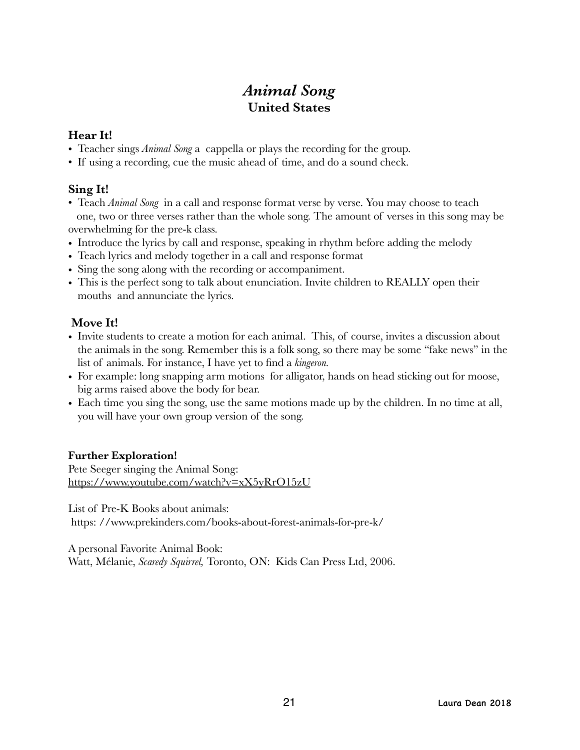# *Animal Song*  **United States**

# **Hear It!**

- Teacher sings *Animal Song* a cappella or plays the recording for the group.
- If using a recording, cue the music ahead of time, and do a sound check.

# **Sing It!**

- Teach *Animal Song* in a call and response format verse by verse. You may choose to teach one, two or three verses rather than the whole song. The amount of verses in this song may be overwhelming for the pre-k class.
- Introduce the lyrics by call and response, speaking in rhythm before adding the melody
- Teach lyrics and melody together in a call and response format
- Sing the song along with the recording or accompaniment.
- This is the perfect song to talk about enunciation. Invite children to REALLY open their mouths and annunciate the lyrics.

# **Move It!**

- Invite students to create a motion for each animal. This, of course, invites a discussion about the animals in the song. Remember this is a folk song, so there may be some "fake news" in the list of animals. For instance, I have yet to find a *kingeron.*
- For example: long snapping arm motions for alligator, hands on head sticking out for moose, big arms raised above the body for bear.
- Each time you sing the song, use the same motions made up by the children. In no time at all, you will have your own group version of the song.

## **Further Exploration!**

Pete Seeger singing the Animal Song: <https://www.youtube.com/watch?v=xX5yRrO15zU>

List of Pre-K Books about animals:

https: //www.prekinders.com/books-about-forest-animals-for-pre-k/

A personal Favorite Animal Book:

Watt, Mélanie, *Scaredy Squirrel,* Toronto, ON: Kids Can Press Ltd, 2006.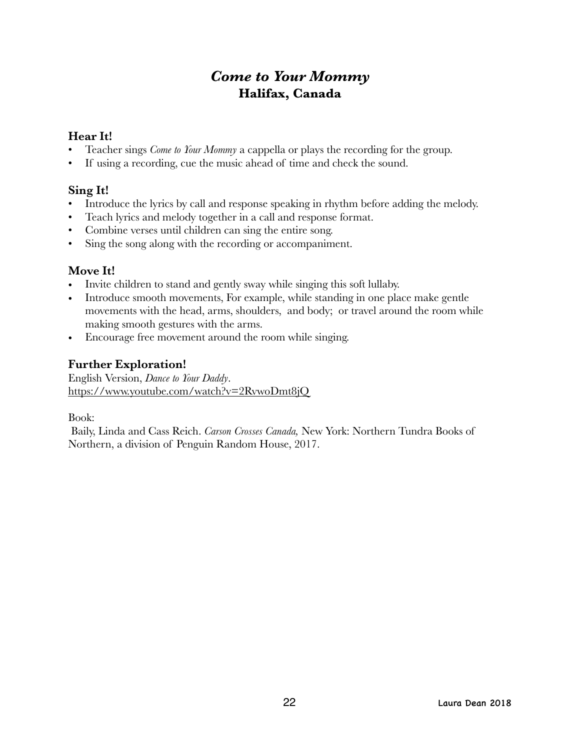# *Come to Your Mommy*  **Halifax, Canada**

## **Hear It!**

- Teacher sings *Come to Your Mommy* a cappella or plays the recording for the group.
- If using a recording, cue the music ahead of time and check the sound.

## **Sing It!**

- Introduce the lyrics by call and response speaking in rhythm before adding the melody.
- Teach lyrics and melody together in a call and response format.
- Combine verses until children can sing the entire song.
- Sing the song along with the recording or accompaniment.

#### **Move It!**

- Invite children to stand and gently sway while singing this soft lullaby.
- Introduce smooth movements, For example, while standing in one place make gentle movements with the head, arms, shoulders, and body; or travel around the room while making smooth gestures with the arms.
- Encourage free movement around the room while singing.

# **Further Exploration!**

English Version, *Dance to Your Daddy*. <https://www.youtube.com/watch?v=2RvwoDmt8jQ>

Book:

 Baily, Linda and Cass Reich. *Carson Crosses Canada,* New York: Northern Tundra Books of Northern, a division of Penguin Random House, 2017.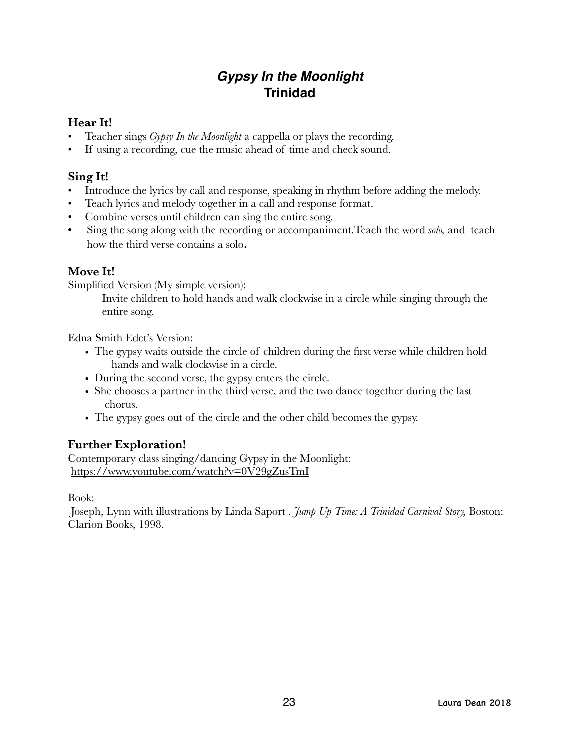# *Gypsy In the Moonlight* **Trinidad**

## **Hear It!**

- Teacher sings *Gypsy In the Moonlight* a cappella or plays the recording.
- If using a recording, cue the music ahead of time and check sound.

# **Sing It!**

- Introduce the lyrics by call and response, speaking in rhythm before adding the melody.
- Teach lyrics and melody together in a call and response format.
- Combine verses until children can sing the entire song.
- **•** Sing the song along with the recording or accompaniment.Teach the word *solo,* and teach how the third verse contains a solo**.**

# **Move It!**

Simplified Version (My simple version):

Invite children to hold hands and walk clockwise in a circle while singing through the entire song.

Edna Smith Edet's Version:

- The gypsy waits outside the circle of children during the first verse while children hold hands and walk clockwise in a circle.
- During the second verse, the gypsy enters the circle.
- She chooses a partner in the third verse, and the two dance together during the last chorus.
- The gypsy goes out of the circle and the other child becomes the gypsy.

# **Further Exploration!**

Contemporary class singing/dancing Gypsy in the Moonlight: <https://www.youtube.com/watch?v=0V29gZusTmI>

Book:

 Joseph, Lynn with illustrations by Linda Saport . *Jump Up Time: A Trinidad Carnival Story,* Boston: Clarion Books, 1998.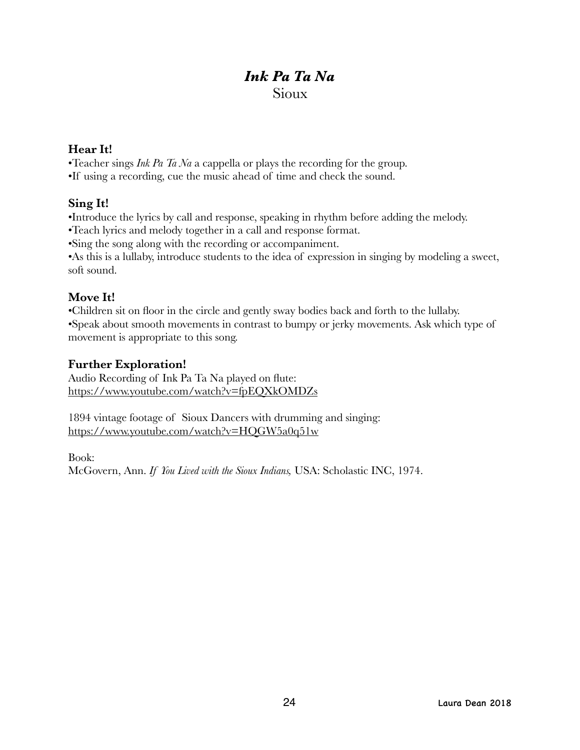# *Ink Pa Ta Na*  Sioux

#### **Hear It!**

•Teacher sings *Ink Pa Ta Na* a cappella or plays the recording for the group.

•If using a recording, cue the music ahead of time and check the sound.

## **Sing It!**

•Introduce the lyrics by call and response, speaking in rhythm before adding the melody.

•Teach lyrics and melody together in a call and response format.

•Sing the song along with the recording or accompaniment.

•As this is a lullaby, introduce students to the idea of expression in singing by modeling a sweet, soft sound.

## **Move It!**

•Children sit on floor in the circle and gently sway bodies back and forth to the lullaby. •Speak about smooth movements in contrast to bumpy or jerky movements. Ask which type of

movement is appropriate to this song.

#### **Further Exploration!**

Audio Recording of Ink Pa Ta Na played on flute: <https://www.youtube.com/watch?v=fpEQXkOMDZs>

1894 vintage footage of Sioux Dancers with drumming and singing: <https://www.youtube.com/watch?v=HQGW5a0q51w>

Book: McGovern, Ann. *If You Lived with the Sioux Indians,* USA: Scholastic INC, 1974.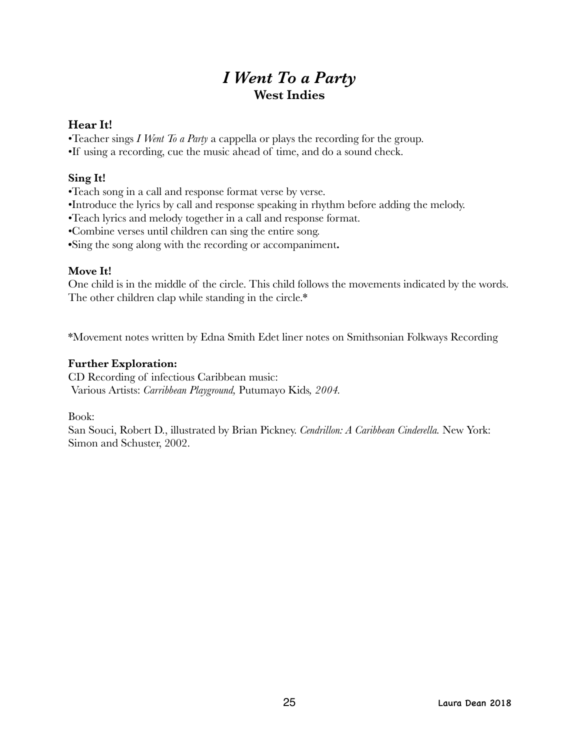# *I Went To a Party*  **West Indies**

#### **Hear It!**

•Teacher sings *I Went To a Party* a cappella or plays the recording for the group.

•If using a recording, cue the music ahead of time, and do a sound check.

## **Sing It!**

•Teach song in a call and response format verse by verse.

•Introduce the lyrics by call and response speaking in rhythm before adding the melody.

•Teach lyrics and melody together in a call and response format.

•Combine verses until children can sing the entire song.

**•**Sing the song along with the recording or accompaniment**.**

## **Move It!**

One child is in the middle of the circle. This child follows the movements indicated by the words. The other children clap while standing in the circle.\*

\*Movement notes written by Edna Smith Edet liner notes on Smithsonian Folkways Recording

#### **Further Exploration:**

CD Recording of infectious Caribbean music: Various Artists: *Carribbean Playground,* Putumayo Kids*, 2004.*

Book:

San Souci, Robert D., illustrated by Brian Pickney. *Cendrillon: A Caribbean Cinderella.* New York: Simon and Schuster, 2002.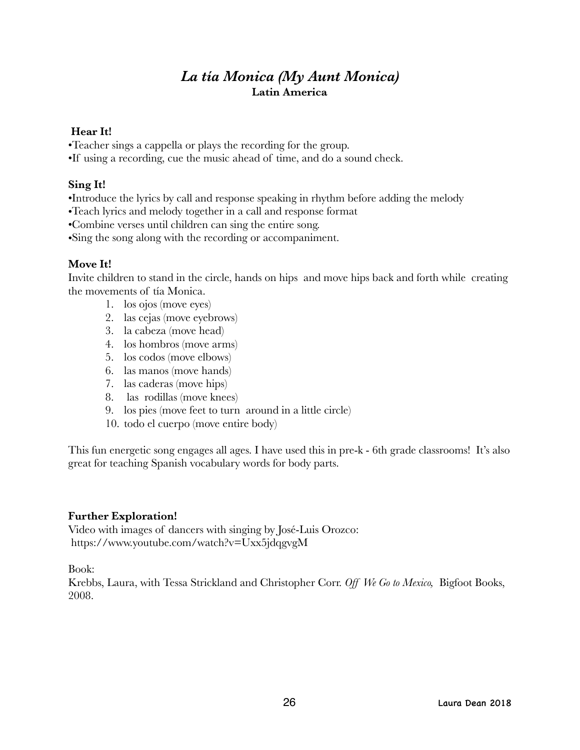# *La tía Monica (My Aunt Monica)*  **Latin America**

#### **Hear It!**

•Teacher sings a cappella or plays the recording for the group.

•If using a recording, cue the music ahead of time, and do a sound check.

# **Sing It!**

•Introduce the lyrics by call and response speaking in rhythm before adding the melody

•Teach lyrics and melody together in a call and response format

•Combine verses until children can sing the entire song.

•Sing the song along with the recording or accompaniment.

## **Move It!**

Invite children to stand in the circle, hands on hips and move hips back and forth while creating the movements of tía Monica.

- 1. los ojos (move eyes)
- 2. las cejas (move eyebrows)
- 3. la cabeza (move head)
- 4. los hombros (move arms)
- 5. los codos (move elbows)
- 6. las manos (move hands)
- 7. las caderas (move hips)
- 8. las rodillas (move knees)
- 9. los pies (move feet to turn around in a little circle)
- 10. todo el cuerpo (move entire body)

This fun energetic song engages all ages. I have used this in pre-k - 6th grade classrooms! It's also great for teaching Spanish vocabulary words for body parts.

## **Further Exploration!**

Video with images of dancers with singing by José-Luis Orozco: https://www.youtube.com/watch?v=Uxx5jdqgvgM

Book:

Krebbs, Laura, with Tessa Strickland and Christopher Corr. *Off We Go to Mexico,* Bigfoot Books, 2008.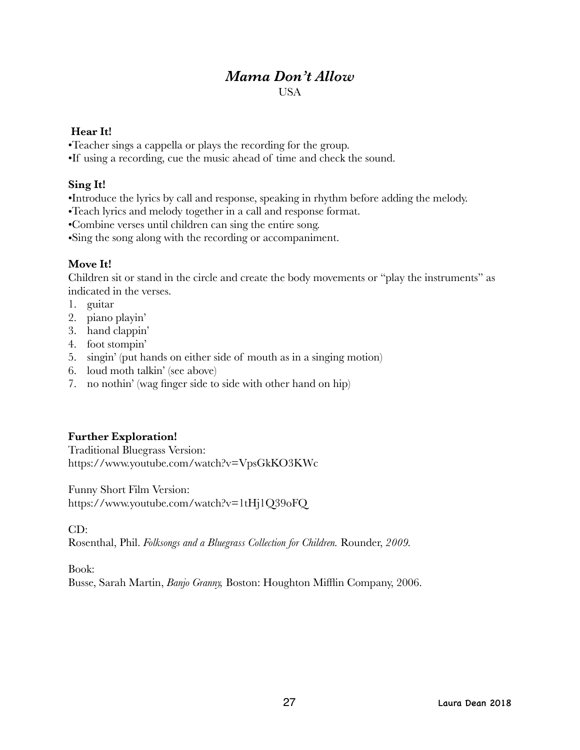# *Mama Don't Allow*

#### USA

#### **Hear It!**

- •Teacher sings a cappella or plays the recording for the group.
- •If using a recording, cue the music ahead of time and check the sound.

# **Sing It!**

- •Introduce the lyrics by call and response, speaking in rhythm before adding the melody.
- •Teach lyrics and melody together in a call and response format.
- •Combine verses until children can sing the entire song.
- •Sing the song along with the recording or accompaniment.

# **Move It!**

Children sit or stand in the circle and create the body movements or "play the instruments" as indicated in the verses.

- 1. guitar
- 2. piano playin'
- 3. hand clappin'
- 4. foot stompin'
- 5. singin' (put hands on either side of mouth as in a singing motion)
- 6. loud moth talkin' (see above)
- 7. no nothin' (wag finger side to side with other hand on hip)

# **Further Exploration!**

Traditional Bluegrass Version: https://www.youtube.com/watch?v=VpsGkKO3KWc

Funny Short Film Version: https://www.youtube.com/watch?v=1tHj1Q39oFQ

CD:

Rosenthal, Phil. *Folksongs and a Bluegrass Collection for Children.* Rounder, *2009.* 

Book:

Busse, Sarah Martin, *Banjo Granny,* Boston: Houghton Mifflin Company, 2006.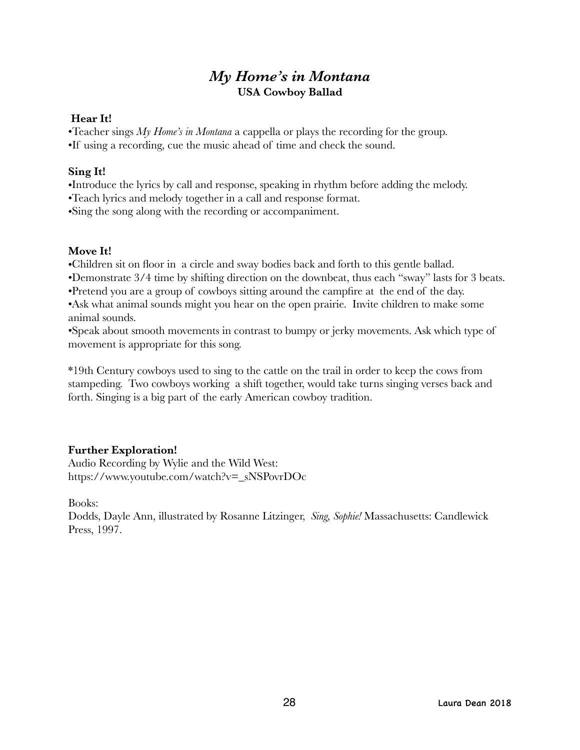# *My Home's in Montana*  **USA Cowboy Ballad**

#### **Hear It!**

•Teacher sings *My Home's in Montana* a cappella or plays the recording for the group.

•If using a recording, cue the music ahead of time and check the sound.

## **Sing It!**

•Introduce the lyrics by call and response, speaking in rhythm before adding the melody.

•Teach lyrics and melody together in a call and response format.

•Sing the song along with the recording or accompaniment.

#### **Move It!**

•Children sit on floor in a circle and sway bodies back and forth to this gentle ballad.

•Demonstrate 3/4 time by shifting direction on the downbeat, thus each "sway" lasts for 3 beats.

•Pretend you are a group of cowboys sitting around the campfire at the end of the day.

•Ask what animal sounds might you hear on the open prairie. Invite children to make some animal sounds.

•Speak about smooth movements in contrast to bumpy or jerky movements. Ask which type of movement is appropriate for this song.

\*19th Century cowboys used to sing to the cattle on the trail in order to keep the cows from stampeding. Two cowboys working a shift together, would take turns singing verses back and forth. Singing is a big part of the early American cowboy tradition.

## **Further Exploration!**

Audio Recording by Wylie and the Wild West: https://www.youtube.com/watch?v=\_sNSPovrDOc

Books:

Dodds, Dayle Ann, illustrated by Rosanne Litzinger, *Sing, Sophie!* Massachusetts: Candlewick Press, 1997.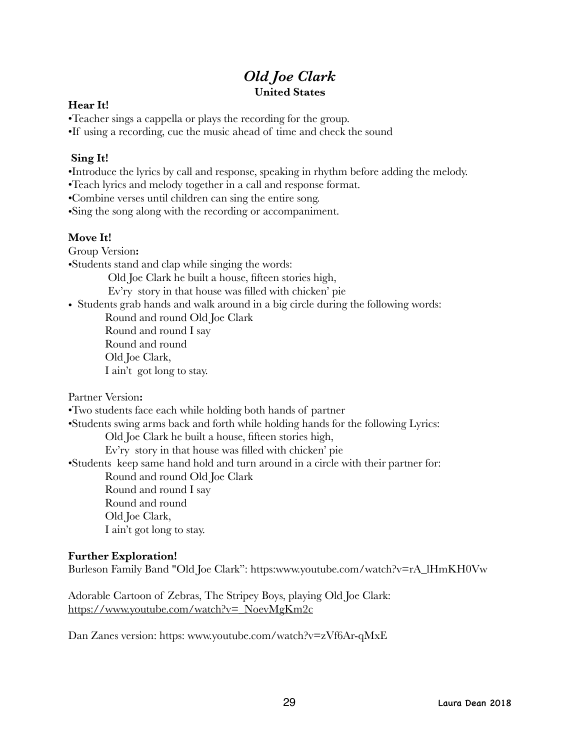# *Old Joe Clark*  **United States**

#### **Hear It!**

•Teacher sings a cappella or plays the recording for the group.

•If using a recording, cue the music ahead of time and check the sound

# **Sing It!**

•Introduce the lyrics by call and response, speaking in rhythm before adding the melody.

•Teach lyrics and melody together in a call and response format.

•Combine verses until children can sing the entire song.

•Sing the song along with the recording or accompaniment.

# **Move It!**

Group Version**:** 

•Students stand and clap while singing the words:

Old Joe Clark he built a house, fifteen stories high,

Ev'ry story in that house was filled with chicken' pie

• Students grab hands and walk around in a big circle during the following words:

Round and round Old Joe Clark Round and round I say Round and round Old Joe Clark, I ain't got long to stay.

Partner Version**:** 

•Two students face each while holding both hands of partner

•Students swing arms back and forth while holding hands for the following Lyrics:

Old Joe Clark he built a house, fifteen stories high,

Ev'ry story in that house was filled with chicken' pie

•Students keep same hand hold and turn around in a circle with their partner for:

Round and round Old Joe Clark

Round and round I say Round and round Old Joe Clark, I ain't got long to stay.

## **Further Exploration!**

Burleson Family Band "Old Joe Clark": https:www.youtube.com/watch?v=rA\_lHmKH0Vw

Adorable Cartoon of Zebras, The Stripey Boys, playing Old Joe Clark: [https://www.youtube.com/watch?v=\\_NoevMgKm2c](https://www.youtube.com/watch?v=_NoevMgKm2c)

Dan Zanes version: https: www.youtube.com/watch?v=zVf6Ar-qMxE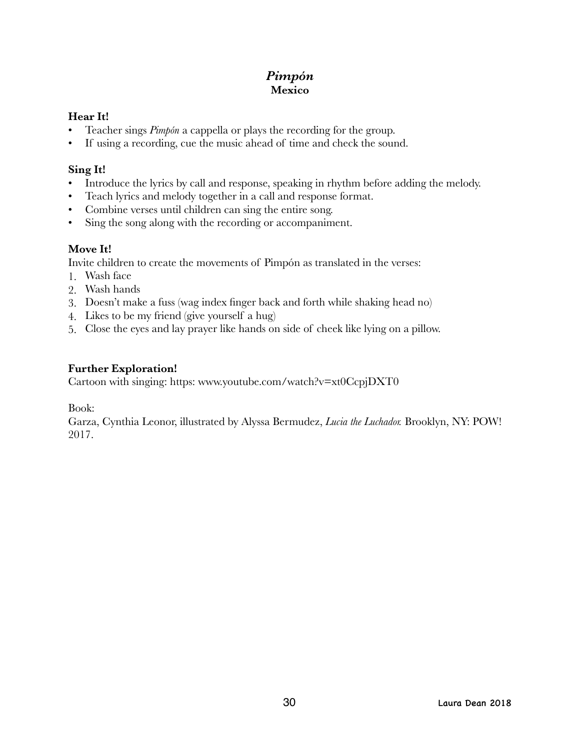# *Pimpón*  **Mexico**

#### **Hear It!**

- Teacher sings *Pimpón* a cappella or plays the recording for the group.
- If using a recording, cue the music ahead of time and check the sound.

### **Sing It!**

- Introduce the lyrics by call and response, speaking in rhythm before adding the melody.
- Teach lyrics and melody together in a call and response format.
- Combine verses until children can sing the entire song.
- Sing the song along with the recording or accompaniment.

## **Move It!**

Invite children to create the movements of Pimpón as translated in the verses:

- 1. Wash face
- 2. Wash hands
- 3. Doesn't make a fuss (wag index finger back and forth while shaking head no)
- 4. Likes to be my friend (give yourself a hug)
- 5. Close the eyes and lay prayer like hands on side of cheek like lying on a pillow.

## **Further Exploration!**

Cartoon with singing: https: www.youtube.com/watch?v=xt0CcpjDXT0

Book:

Garza, Cynthia Leonor, illustrated by Alyssa Bermudez, *Lucia the Luchador.* Brooklyn, NY: POW! 2017.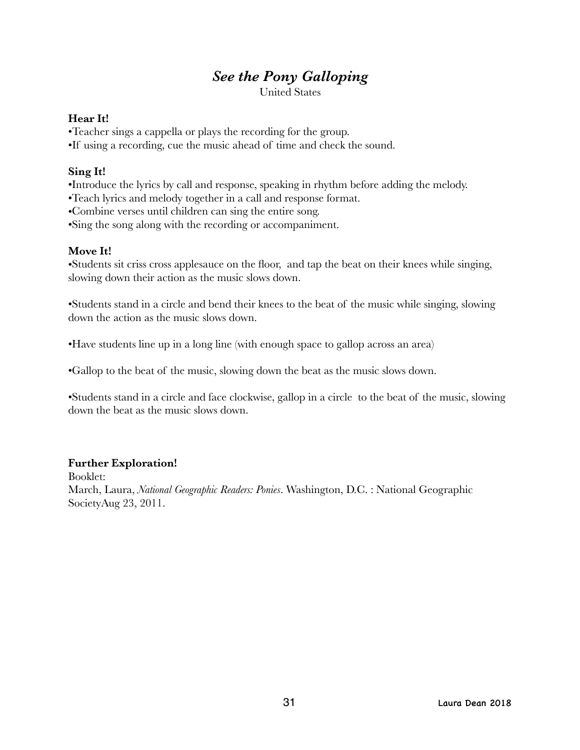# *See the Pony Galloping*

United States

#### **Hear It!**

•Teacher sings a cappella or plays the recording for the group.

•If using a recording, cue the music ahead of time and check the sound.

#### **Sing It!**

- •Introduce the lyrics by call and response, speaking in rhythm before adding the melody.
- •Teach lyrics and melody together in a call and response format.
- •Combine verses until children can sing the entire song.
- •Sing the song along with the recording or accompaniment.

#### **Move It!**

•Students sit criss cross applesauce on the floor, and tap the beat on their knees while singing, slowing down their action as the music slows down.

•Students stand in a circle and bend their knees to the beat of the music while singing, slowing down the action as the music slows down.

•Have students line up in a long line (with enough space to gallop across an area)

•Gallop to the beat of the music, slowing down the beat as the music slows down.

•Students stand in a circle and face clockwise, gallop in a circle to the beat of the music, slowing down the beat as the music slows down.

## **Further Exploration!**

Booklet: March, Laura, *[National Geographic Readers: Ponies](https://www.amazon.com/National-Geographic-Readers-Laura-Marsh/dp/1426308493/ref=sr_1_3?ie=UTF8&qid=1524246458&sr=8-3&keywords=ponies++book+for+kids)*. Washington, D.C. : National Geographic SocietyAug 23, 2011.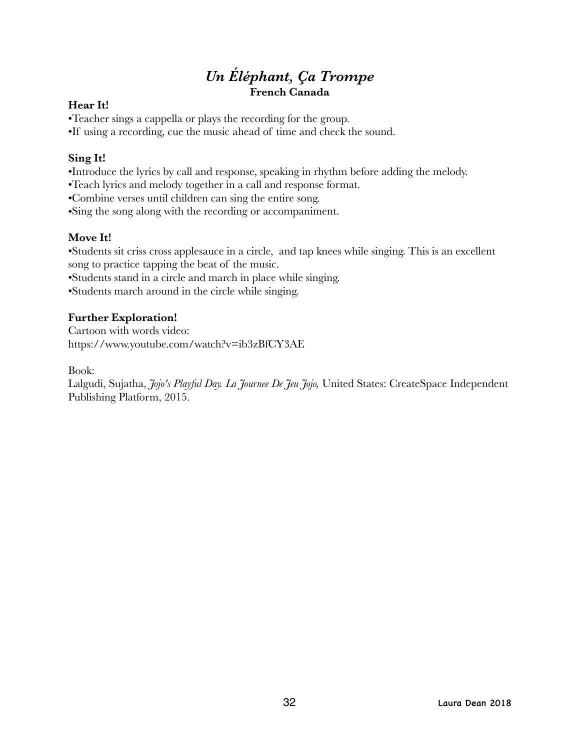# *Un Éléphant, Ça Trompe*  **French Canada**

#### **Hear It!**

•Teacher sings a cappella or plays the recording for the group.

•If using a recording, cue the music ahead of time and check the sound.

### **Sing It!**

•Introduce the lyrics by call and response, speaking in rhythm before adding the melody.

•Teach lyrics and melody together in a call and response format.

•Combine verses until children can sing the entire song.

•Sing the song along with the recording or accompaniment.

## **Move It!**

•Students sit criss cross applesauce in a circle, and tap knees while singing. This is an excellent song to practice tapping the beat of the music.

•Students stand in a circle and march in place while singing.

•Students march around in the circle while singing.

# **Further Exploration!**

Cartoon with words video: https://www.youtube.com/watch?v=ib3zBfCY3AE

Book:

Lalgudi, Sujatha, *Jojo's Playful Day. La Journee De Jeu Jojo,* United States: CreateSpace Independent Publishing Platform, 2015.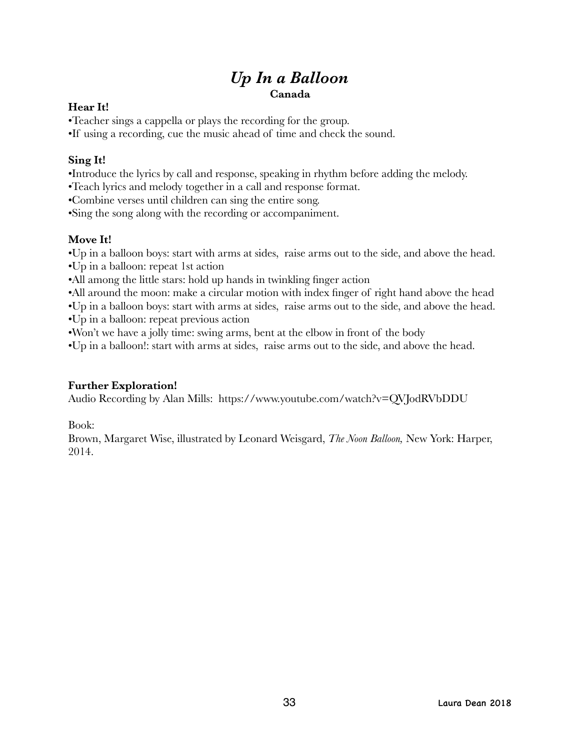# *Up In a Balloon*  **Canada**

#### **Hear It!**

•Teacher sings a cappella or plays the recording for the group.

•If using a recording, cue the music ahead of time and check the sound.

## **Sing It!**

•Introduce the lyrics by call and response, speaking in rhythm before adding the melody.

•Teach lyrics and melody together in a call and response format.

•Combine verses until children can sing the entire song.

•Sing the song along with the recording or accompaniment.

# **Move It!**

•Up in a balloon boys: start with arms at sides, raise arms out to the side, and above the head.

- •Up in a balloon: repeat 1st action
- •All among the little stars: hold up hands in twinkling finger action

•All around the moon: make a circular motion with index finger of right hand above the head

•Up in a balloon boys: start with arms at sides, raise arms out to the side, and above the head.

•Up in a balloon: repeat previous action

•Won't we have a jolly time: swing arms, bent at the elbow in front of the body

•Up in a balloon!: start with arms at sides, raise arms out to the side, and above the head.

# **Further Exploration!**

Audio Recording by Alan Mills: https://www.youtube.com/watch?v=QVJodRVbDDU

Book:

Brown, Margaret Wise, illustrated by Leonard Weisgard, *The Noon Balloon,* New York: Harper, 2014.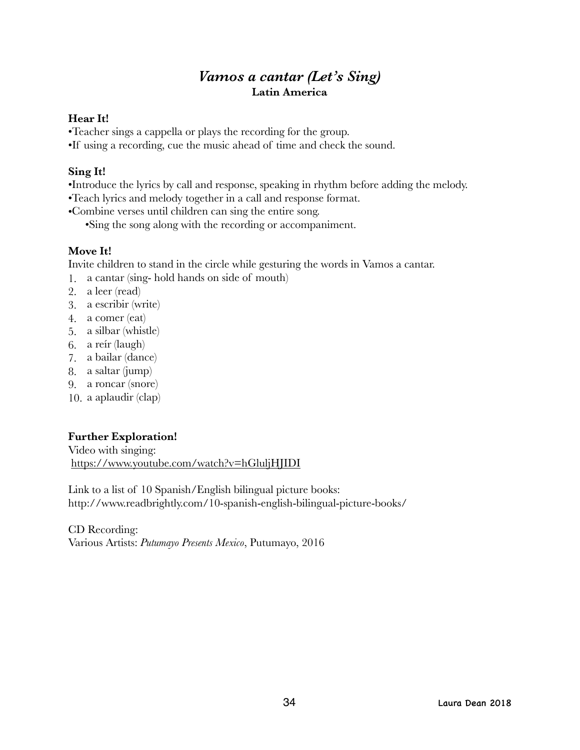# *Vamos a cantar (Let's Sing)*  **Latin America**

#### **Hear It!**

•Teacher sings a cappella or plays the recording for the group.

•If using a recording, cue the music ahead of time and check the sound.

#### **Sing It!**

- •Introduce the lyrics by call and response, speaking in rhythm before adding the melody.
- •Teach lyrics and melody together in a call and response format.
- •Combine verses until children can sing the entire song.

•Sing the song along with the recording or accompaniment.

#### **Move It!**

Invite children to stand in the circle while gesturing the words in Vamos a cantar.

1. a cantar (sing- hold hands on side of mouth)

- 2. a leer (read)
- 3. a escribir (write)
- 4. a comer (eat)
- 5. a silbar (whistle)
- 6. a reír (laugh)
- 7. a bailar (dance)
- 8. a saltar (jump)
- 9. a roncar (snore)
- 10. a aplaudir (clap)

## **Further Exploration!**

Video with singing: <https://www.youtube.com/watch?v=hGluljHJIDI>

Link to a list of 10 Spanish/English bilingual picture books: http://www.readbrightly.com/10-spanish-english-bilingual-picture-books/

CD Recording: Various Artists: *Putumayo Presents Mexico*, Putumayo, 2016